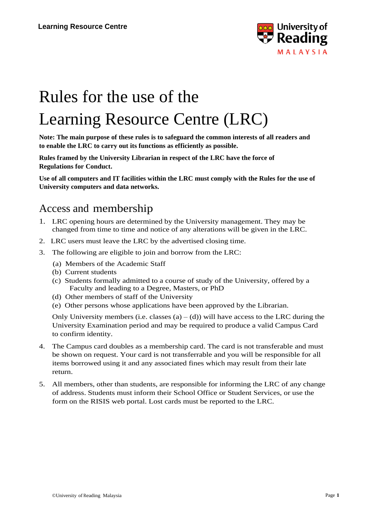

# Rules for the use of the Learning Resource Centre (LRC)

**Note: The main purpose of these rules is to safeguard the common interests of all readers and to enable the LRC to carry out its functions as efficiently as possible.**

**Rules framed by the University Librarian in respect of the LRC have the force of Regulations for Conduct.**

**Use of all computers and IT facilities within the LRC must comply with the Rules for the use of University computers and data networks.**

#### Access and membership

- 1. LRC opening hours are determined by the University management. They may be changed from time to time and notice of any alterations will be given in the LRC.
- 2. LRC users must leave the LRC by the advertised closing time.
- 3. The following are eligible to join and borrow from the LRC:
	- (a) Members of the Academic Staff
	- (b) Current students
	- (c) Students formally admitted to a course of study of the University, offered by a Faculty and leading to a Degree, Masters, or PhD
	- (d) Other members of staff of the University
	- (e) Other persons whose applications have been approved by the Librarian.

Only University members (i.e. classes (a)  $-$  (d)) will have access to the LRC during the University Examination period and may be required to produce a valid Campus Card to confirm identity.

- 4. The Campus card doubles as a membership card. The card is not transferable and must be shown on request. Your card is not transferrable and you will be responsible for all items borrowed using it and any associated fines which may result from their late return.
- 5. All members, other than students, are responsible for informing the LRC of any change of address. Students must inform their School Office or Student Services, or use the form on the RISIS web portal. Lost cards must be reported to the LRC.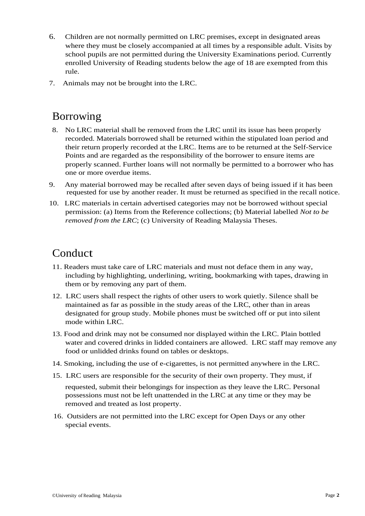- 6. Children are not normally permitted on LRC premises, except in designated areas where they must be closely accompanied at all times by a responsible adult. Visits by school pupils are not permitted during the University Examinations period. Currently enrolled University of Reading students below the age of 18 are exempted from this rule.
- 7. Animals may not be brought into the LRC.

## Borrowing

- 8. No LRC material shall be removed from the LRC until its issue has been properly recorded. Materials borrowed shall be returned within the stipulated loan period and their return properly recorded at the LRC. Items are to be returned at the Self-Service Points and are regarded as the responsibility of the borrower to ensure items are properly scanned. Further loans will not normally be permitted to a borrower who has one or more overdue items.
- 9. Any material borrowed may be recalled after seven days of being issued if it has been requested for use by another reader. It must be returned as specified in the recall notice.
- 10. LRC materials in certain advertised categories may not be borrowed without special permission: (a) Items from the Reference collections; (b) Material labelled *Not to be removed from the LRC*; (c) University of Reading Malaysia Theses.

### Conduct

- 11. Readers must take care of LRC materials and must not deface them in any way, including by highlighting, underlining, writing, bookmarking with tapes, drawing in them or by removing any part of them.
- 12. LRC users shall respect the rights of other users to work quietly. Silence shall be maintained as far as possible in the study areas of the LRC, other than in areas designated for group study. Mobile phones must be switched off or put into silent mode within LRC.
- 13. Food and drink may not be consumed nor displayed within the LRC. Plain bottled water and covered drinks in lidded containers are allowed. LRC staff may remove any food or unlidded drinks found on tables or desktops.
- 14. Smoking, including the use of e-cigarettes, is not permitted anywhere in the LRC.
- 15. LRC users are responsible for the security of their own property. They must, if

requested, submit their belongings for inspection as they leave the LRC. Personal possessions must not be left unattended in the LRC at any time or they may be removed and treated as lost property.

16. Outsiders are not permitted into the LRC except for Open Days or any other special events.